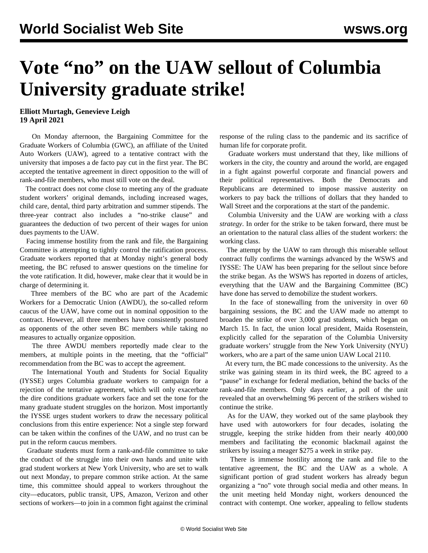## **Vote "no" on the UAW sellout of Columbia University graduate strike!**

**Elliott Murtagh, Genevieve Leigh 19 April 2021**

 On Monday afternoon, the Bargaining Committee for the Graduate Workers of Columbia (GWC), an affiliate of the United Auto Workers (UAW), agreed to a tentative contract with the university that imposes a de facto pay cut in the first year. The BC accepted the tentative agreement in direct opposition to the will of rank-and-file members, who must still vote on the deal.

 The contract does not come close to meeting any of the graduate student workers' original demands, including increased wages, child care, dental, third party arbitration and summer stipends. The three-year contract also includes a "no-strike clause" and guarantees the deduction of two percent of their wages for union dues payments to the UAW.

 Facing immense hostility from the rank and file, the Bargaining Committee is attempting to tightly control the ratification process. Graduate workers reported that at Monday night's general body meeting, the BC refused to answer questions on the timeline for the vote ratification. It did, however, make clear that it would be in charge of determining it.

 Three members of the BC who are part of the Academic Workers for a Democratic Union (AWDU), the so-called reform caucus of the UAW, have come out in nominal opposition to the contract. However, all three members have consistently postured as opponents of the other seven BC members while taking no measures to actually organize opposition.

 The three AWDU members reportedly made clear to the members, at multiple points in the meeting, that the "official" recommendation from the BC was to accept the agreement.

 The International Youth and Students for Social Equality (IYSSE) urges Columbia graduate workers to campaign for a rejection of the tentative agreement, which will only exacerbate the dire conditions graduate workers face and set the tone for the many graduate student struggles on the horizon. Most importantly the IYSSE urges student workers to draw the necessary political conclusions from this entire experience: Not a single step forward can be taken within the confines of the UAW, and no trust can be put in the reform caucus members.

 Graduate students must form a rank-and-file committee to take the conduct of the struggle into their own hands and unite with grad student workers at New York University, who are set to walk out next Monday, to prepare common strike action. At the same time, this committee should appeal to workers throughout the city—educators, public transit, UPS, Amazon, Verizon and other sections of workers—to join in a common fight against the criminal response of the ruling class to the pandemic and its sacrifice of human life for corporate profit.

 Graduate workers must understand that they, like millions of workers in the city, the country and around the world, are engaged in a fight against powerful corporate and financial powers and their political representatives. Both the Democrats and Republicans are determined to impose massive austerity on workers to pay back the trillions of dollars that they handed to Wall Street and the corporations at the start of the pandemic.

 Columbia University and the UAW are working with a *class strategy*. In order for the strike to be taken forward, there must be an orientation to the natural class allies of the student workers: the working class.

 The attempt by the UAW to ram through this miserable sellout contract fully confirms the warnings advanced by the WSWS and IYSSE: The UAW has been preparing for the sellout since before the strike began. As the WSWS has reported in dozens of articles, everything that the [UAW](/en/articles/2021/04/03/colu-a03.html) and the Bargaining Committee (BC) have done has served to demobilize the student workers.

 In the face of stonewalling from the university in over 60 bargaining sessions, the BC and the UAW made no attempt to broaden the strike of over 3,000 grad students, which began on March 15. In fact, the union local president, Maida Rosenstein, explicitly called for the separation of the Columbia University graduate workers' struggle from the New York University (NYU) workers, who are a part of the same union UAW Local 2110.

 At every turn, the BC made concessions to the university. As the strike was gaining steam in its third week, the BC agreed to a "pause" in exchange for federal mediation, behind the backs of the rank-and-file members. Only days earlier, a poll of the unit revealed that an overwhelming 96 percent of the strikers wished to continue the strike.

 As for the UAW, they worked out of the same playbook they have used with autoworkers for four decades, isolating the struggle, keeping the strike hidden from their nearly 400,000 members and facilitating the economic blackmail against the strikers by issuing a meager \$275 a week in strike pay.

 There is immense hostility among the rank and file to the tentative agreement, the BC and the UAW as a whole. A significant portion of grad student workers has already begun organizing a "no" vote through social media and other means. In the unit meeting held Monday night, workers denounced the contract with contempt. One worker, appealing to fellow students